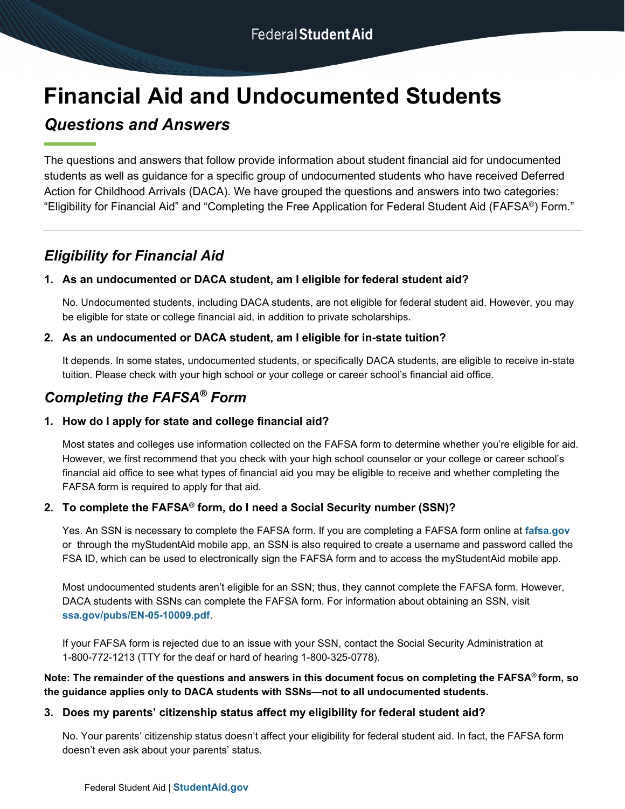# **Financial Aid and Undocumented Students**

# *Questions and Answers*

The questions and answers that follow provide information about student financial aid for undocumented students as well as guidance for a specific group of undocumented students who have received Deferred Action for Childhood Arrivals (DACA). We have grouped the questions and answers into two categories: "Eligibility for Financial Aid" and "Completing the Free Application for Federal Student Aid (FAFSA®) Form."

# *Eligibility for Financial Aid*

## **1. As an undocumented or DACA student, am I eligible for federal student aid?**

No. Undocumented students, including DACA students, are not eligible for federal student aid. However, you may be eligible for state or college financial aid, in addition to private scholarships.

#### **2. As an undocumented or DACA student, am I eligible for in-state tuition?**

It depends. In some states, undocumented students, or specifically DACA students, are eligible to receive in-state tuition. Please check with your high school or your college or career school's financial aid office.

# *Completing the FAFSA® Form*

## **1. How do I apply for state and college financial aid?**

Most states and colleges use information collected on the FAFSA form to determine whether you're eligible for aid. However, we first recommend that you check with your high school counselor or your college or career school's financial aid office to see what types of financial aid you may be eligible to receive and whether completing the FAFSA form is required to apply for that aid.

## **2. To complete the FAFSA® form, do I need a Social Security number (SSN)?**

Yes. An SSN is necessary to complete the FAFSA form. If you are completing a FAFSA form online at **[fafsa.gov](https://studentaid.gov/h/apply-for-aid/fafsa)** or through the myStudentAid mobile app, an SSN is also required to create a username and password called the FSA ID, which can be used to electronically sign the FAFSA form and to access the myStudentAid mobile app.

Most undocumented students aren't eligible for an SSN; thus, they cannot complete the FAFSA form. However, DACA students with SSNs can complete the FAFSA form. For information about obtaining an SSN, visit **[ssa.gov/pubs/EN-05-10009.pdf](https://www.ssa.gov/pubs/EN-05-10009.pdf)**.

If your FAFSA form is rejected due to an issue with your SSN, contact the Social Security Administration at 1-800-772-1213 (TTY for the deaf or hard of hearing 1-800-325-0778).

#### **Note: The remainder of the questions and answers in this document focus on completing the FAFSA® form, so the guidance applies only to DACA students with SSNs—not to all undocumented students.**

#### **3. Does my parents' citizenship status affect my eligibility for federal student aid?**

No. Your parents' citizenship status doesn't affect your eligibility for federal student aid. In fact, the FAFSA form doesn't even ask about your parents' status.